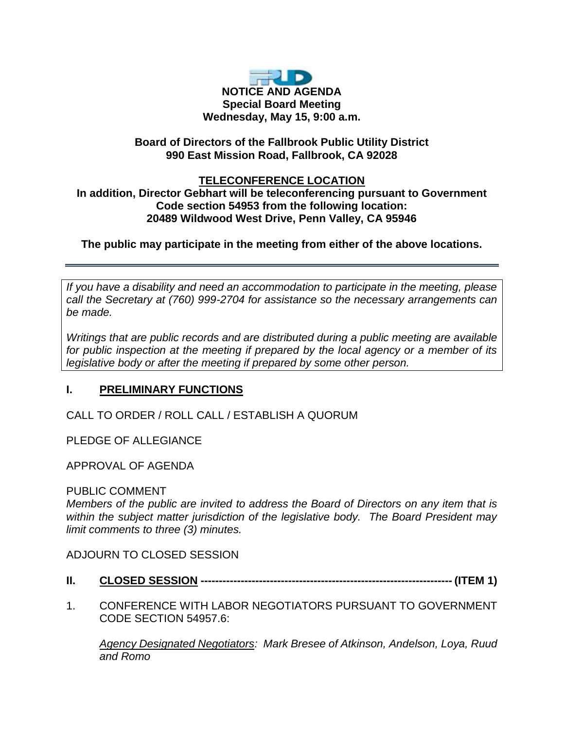

# **Board of Directors of the Fallbrook Public Utility District 990 East Mission Road, Fallbrook, CA 92028**

## **TELECONFERENCE LOCATION**

**In addition, Director Gebhart will be teleconferencing pursuant to Government Code section 54953 from the following location: 20489 Wildwood West Drive, Penn Valley, CA 95946**

# **The public may participate in the meeting from either of the above locations.**

*If you have a disability and need an accommodation to participate in the meeting, please call the Secretary at (760) 999-2704 for assistance so the necessary arrangements can be made.* 

*Writings that are public records and are distributed during a public meeting are available for public inspection at the meeting if prepared by the local agency or a member of its legislative body or after the meeting if prepared by some other person.* 

# **I. PRELIMINARY FUNCTIONS**

CALL TO ORDER / ROLL CALL / ESTABLISH A QUORUM

PLEDGE OF ALLEGIANCE

APPROVAL OF AGENDA

### PUBLIC COMMENT

*Members of the public are invited to address the Board of Directors on any item that is within the subject matter jurisdiction of the legislative body. The Board President may limit comments to three (3) minutes.*

ADJOURN TO CLOSED SESSION

- **II. CLOSED SESSION --------------------------------------------------------------------- (ITEM 1)**
- 1. CONFERENCE WITH LABOR NEGOTIATORS PURSUANT TO GOVERNMENT CODE SECTION 54957.6:

*Agency Designated Negotiators: Mark Bresee of Atkinson, Andelson, Loya, Ruud and Romo*